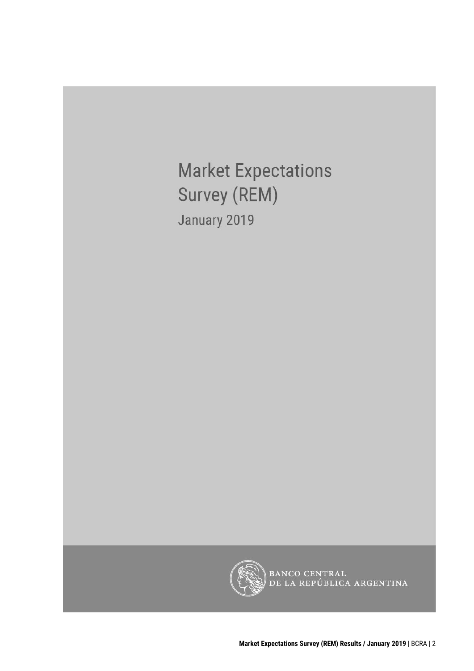**Market Expectations** Survey (REM) January 2019



BANCO CENTRAL<br>DE LA REPÚBLICA ARGENTINA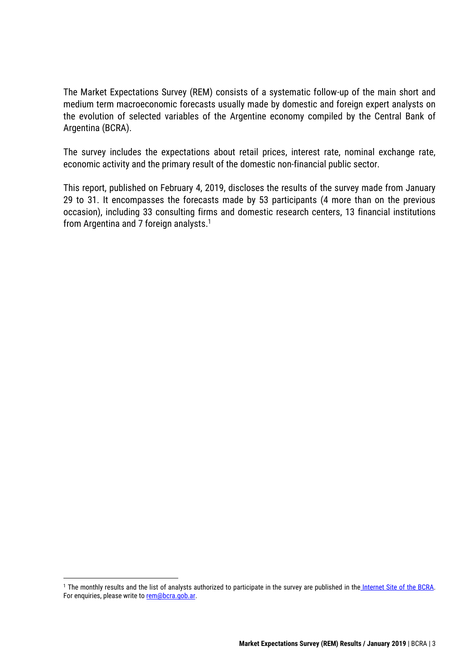The Market Expectations Survey (REM) consists of a systematic follow-up of the main short and medium term macroeconomic forecasts usually made by domestic and foreign expert analysts on the evolution of selected variables of the Argentine economy compiled by the Central Bank of Argentina (BCRA).

The survey includes the expectations about retail prices, interest rate, nominal exchange rate, economic activity and the primary result of the domestic non-financial public sector.

This report, published on February 4, 2019, discloses the results of the survey made from January 29 to 31. It encompasses the forecasts made by 53 participants (4 more than on the previous occasion), including 33 consulting firms and domestic research centers, 13 financial institutions from Argentina and 7 foreign analysts. 1

<sup>&</sup>lt;sup>1</sup> The monthly results and the list of analysts authorized to participate in the survey are published in the [Internet Site of the BCRA.](http://www.bcra.gob.ar/PublicacionesEstadisticas/Relevamiento_Expectativas_de_Mercado.asp) For enquiries, please write to [rem@bcra.gob.ar.](mailto:rem@bcra.gob.ar)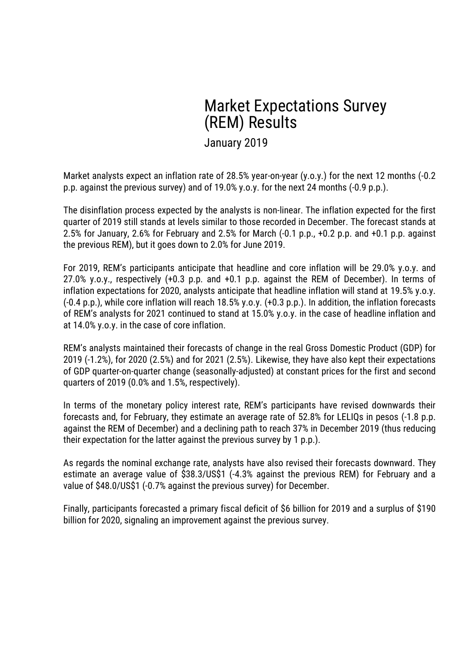# Market Expectations Survey (REM) Results

January 2019

Market analysts expect an inflation rate of 28.5% year-on-year (y.o.y.) for the next 12 months (-0.2 p.p. against the previous survey) and of 19.0% y.o.y. for the next 24 months (-0.9 p.p.).

The disinflation process expected by the analysts is non-linear. The inflation expected for the first quarter of 2019 still stands at levels similar to those recorded in December. The forecast stands at 2.5% for January, 2.6% for February and 2.5% for March (-0.1 p.p., +0.2 p.p. and +0.1 p.p. against the previous REM), but it goes down to 2.0% for June 2019.

For 2019, REM's participants anticipate that headline and core inflation will be 29.0% y.o.y. and 27.0% y.o.y., respectively (+0.3 p.p. and +0.1 p.p. against the REM of December). In terms of inflation expectations for 2020, analysts anticipate that headline inflation will stand at 19.5% y.o.y. (-0.4 p.p.), while core inflation will reach 18.5% y.o.y. (+0.3 p.p.). In addition, the inflation forecasts of REM's analysts for 2021 continued to stand at 15.0% y.o.y. in the case of headline inflation and at 14.0% y.o.y. in the case of core inflation.

REM's analysts maintained their forecasts of change in the real Gross Domestic Product (GDP) for 2019 (-1.2%), for 2020 (2.5%) and for 2021 (2.5%). Likewise, they have also kept their expectations of GDP quarter-on-quarter change (seasonally-adjusted) at constant prices for the first and second quarters of 2019 (0.0% and 1.5%, respectively).

In terms of the monetary policy interest rate, REM's participants have revised downwards their forecasts and, for February, they estimate an average rate of 52.8% for LELIQs in pesos (-1.8 p.p. against the REM of December) and a declining path to reach 37% in December 2019 (thus reducing their expectation for the latter against the previous survey by 1 p.p.).

As regards the nominal exchange rate, analysts have also revised their forecasts downward. They estimate an average value of \$38.3/US\$1 (-4.3% against the previous REM) for February and a value of \$48.0/US\$1 (-0.7% against the previous survey) for December.

Finally, participants forecasted a primary fiscal deficit of \$6 billion for 2019 and a surplus of \$190 billion for 2020, signaling an improvement against the previous survey.